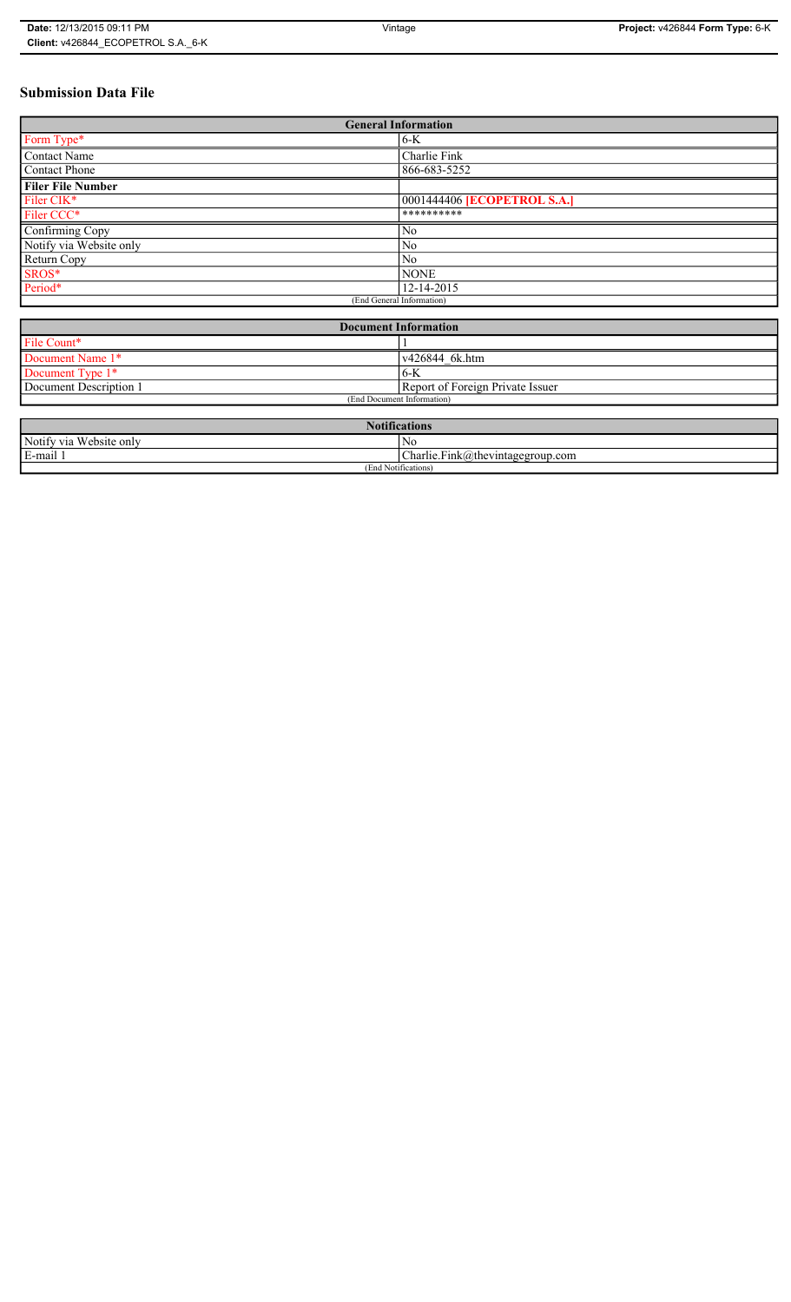# **Submission Data File**

| <b>General Information</b>  |                                    |  |
|-----------------------------|------------------------------------|--|
| Form Type*                  | 6-K                                |  |
| <b>Contact Name</b>         | Charlie Fink                       |  |
| Contact Phone               | 866-683-5252                       |  |
| <b>Filer File Number</b>    |                                    |  |
| Filer CIK*                  | 0001444406 <b>[ECOPETROL S.A.]</b> |  |
| Filer CCC*                  | **********                         |  |
| Confirming Copy             | N <sub>0</sub>                     |  |
| Notify via Website only     | N <sub>0</sub>                     |  |
| Return Copy                 | No                                 |  |
| SROS*                       | <b>NONE</b>                        |  |
| Period*                     | 12-14-2015                         |  |
| (End General Information)   |                                    |  |
|                             |                                    |  |
| <b>Document Information</b> |                                    |  |

| Document miormation          |                                  |
|------------------------------|----------------------------------|
| File Count*                  |                                  |
| Document Name 1*             | v426844_6k.htm                   |
| Document Type 1 <sup>*</sup> | '6-K                             |
| Document Description 1       | Report of Foreign Private Issuer |
| (End Document Information)   |                                  |

| <b>Notifications</b>         |                                                                             |  |
|------------------------------|-----------------------------------------------------------------------------|--|
| u Website only<br>Notify via | No                                                                          |  |
| E-mail 1                     | $\mathbf{r}$<br>$\sim$<br>$\Delta$ harlie.Fink $\alpha$ thevintagegroup.com |  |
| (End Notifications)          |                                                                             |  |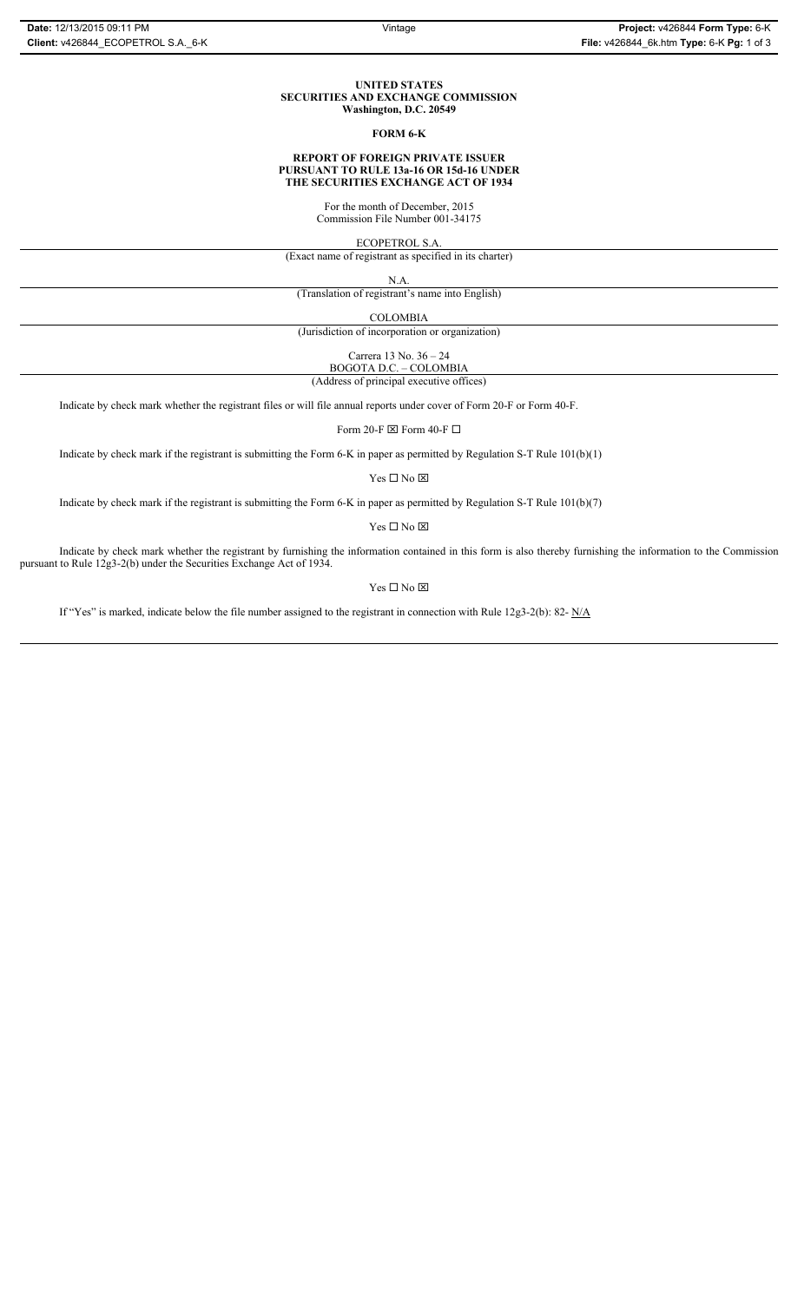#### **UNITED STATES SECURITIES AND EXCHANGE COMMISSION Washington, D.C. 20549**

### **FORM 6-K**

#### **REPORT OF FOREIGN PRIVATE ISSUER PURSUANT TO RULE 13a-16 OR 15d-16 UNDER THE SECURITIES EXCHANGE ACT OF 1934**

For the month of December, 2015

Commission File Number 001-34175

ECOPETROL S.A.

(Exact name of registrant as specified in its charter)

N.A.

(Translation of registrant's name into English)

COLOMBIA

(Jurisdiction of incorporation or organization)

Carrera 13 No. 36 – 24 BOGOTA D.C. – COLOMBIA

(Address of principal executive offices)

Indicate by check mark whether the registrant files or will file annual reports under cover of Form 20-F or Form 40-F.

Form 20-F  $\boxtimes$  Form 40-F  $\Box$ 

Indicate by check mark if the registrant is submitting the Form 6-K in paper as permitted by Regulation S-T Rule 101(b)(1)

 $Yes \Box No \boxtimes$ 

Indicate by check mark if the registrant is submitting the Form 6-K in paper as permitted by Regulation S-T Rule 101(b)(7)

 $Yes \Box No \boxtimes$ 

Indicate by check mark whether the registrant by furnishing the information contained in this form is also thereby furnishing the information to the Commission pursuant to Rule 12g3-2(b) under the Securities Exchange Act of 1934.

Yes $\Box$  No  $\boxtimes$ 

If "Yes" is marked, indicate below the file number assigned to the registrant in connection with Rule 12g3-2(b): 82-  $N/A$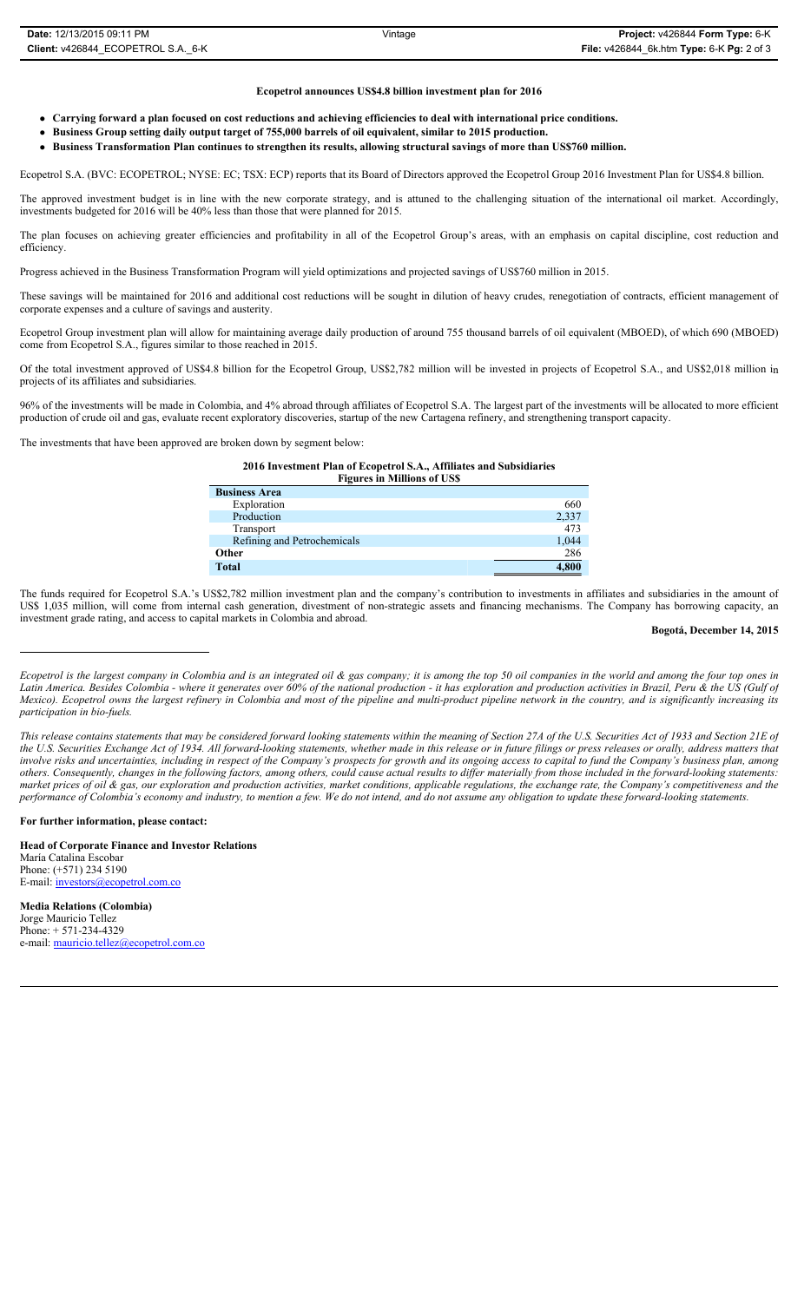#### **Ecopetrol announces US\$4.8 billion investment plan for 2016**

- **Carrying forward a plan focused on cost reductions and achieving efficiencies to deal with international price conditions.**
- **•** Business Group setting daily output target of 755,000 barrels of oil equivalent, similar to 2015 production.
- <sup>z</sup> **Business Transformation Plan continues to strengthen its results, allowing structural savings of more than US\$760 million.**

Ecopetrol S.A. (BVC: ECOPETROL; NYSE: EC; TSX: ECP) reports that its Board of Directors approved the Ecopetrol Group 2016 Investment Plan for US\$4.8 billion.

The approved investment budget is in line with the new corporate strategy, and is attuned to the challenging situation of the international oil market. Accordingly, investments budgeted for 2016 will be 40% less than those that were planned for 2015.

The plan focuses on achieving greater efficiencies and profitability in all of the Ecopetrol Group's areas, with an emphasis on capital discipline, cost reduction and efficiency.

Progress achieved in the Business Transformation Program will yield optimizations and projected savings of US\$760 million in 2015.

These savings will be maintained for 2016 and additional cost reductions will be sought in dilution of heavy crudes, renegotiation of contracts, efficient management of corporate expenses and a culture of savings and austerity.

Ecopetrol Group investment plan will allow for maintaining average daily production of around 755 thousand barrels of oil equivalent (MBOED), of which 690 (MBOED) come from Ecopetrol S.A., figures similar to those reached in 2015.

Of the total investment approved of US\$4.8 billion for the Ecopetrol Group, US\$2,782 million will be invested in projects of Ecopetrol S.A., and US\$2,018 million in projects of its affiliates and subsidiaries.

96% of the investments will be made in Colombia, and 4% abroad through affiliates of Ecopetrol S.A. The largest part of the investments will be allocated to more efficient production of crude oil and gas, evaluate recent exploratory discoveries, startup of the new Cartagena refinery, and strengthening transport capacity.

The investments that have been approved are broken down by segment below:

**2016 Investment Plan of Ecopetrol S.A., Affiliates and Subsidiaries Figures in Millions of US\$**

| <b>Business Area</b>        |       |
|-----------------------------|-------|
| Exploration                 | 660   |
| Production                  | 2,337 |
| Transport                   | 473   |
| Refining and Petrochemicals | 1,044 |
| Other                       | 286   |
| <b>Total</b>                | 4,800 |

The funds required for Ecopetrol S.A.'s US\$2,782 million investment plan and the company's contribution to investments in affiliates and subsidiaries in the amount of US\$ 1,035 million, will come from internal cash generation, divestment of non-strategic assets and financing mechanisms. The Company has borrowing capacity, an investment grade rating, and access to capital markets in Colombia and abroad.

### **Bogotá, December 14, 2015**

*Ecopetrol is the largest company in Colombia and is an integrated oil & gas company; it is among the top 50 oil companies in the world and among the four top ones in Latin America. Besides Colombia - where it generates over 60% of the national production - it has exploration and production activities in Brazil, Peru & the US (Gulf of Mexico). Ecopetrol owns the largest refinery in Colombia and most of the pipeline and multi-product pipeline network in the country, and is significantly increasing its participation in bio-fuels.*

*This release contains statements that may be considered forward looking statements within the meaning of Section 27A of the U.S. Securities Act of 1933 and Section 21E of the U.S. Securities Exchange Act of 1934. All forward-looking statements, whether made in this release or in future filings or press releases or orally, address matters that involve risks and uncertainties, including in respect of the Company's prospects for growth and its ongoing access to capital to fund the Company's business plan, among<br>involve risks and uncertainties, including in respec others. Consequently, changes in the following factors, among others, could cause actual results to differ materially from those included in the forward-looking statements: market prices of oil & gas, our exploration and production activities, market conditions, applicable regulations, the exchange rate, the Company's competitiveness and the performance of Colombia's economy and industry, to mention a few. We do not intend, and do not assume any obligation to update these forward-looking statements.*

#### **For further information, please contact:**

**Head of Corporate Finance and Investor Relations** María Catalina Escobar Phone: (+571) 234 5190 E-mail: investors@ecopetrol.com.co

**Media Relations (Colombia)**  Jorge Mauricio Tellez Phone: + 571-234-4329 e-mail: mauricio.tellez@ecopetrol.com.co